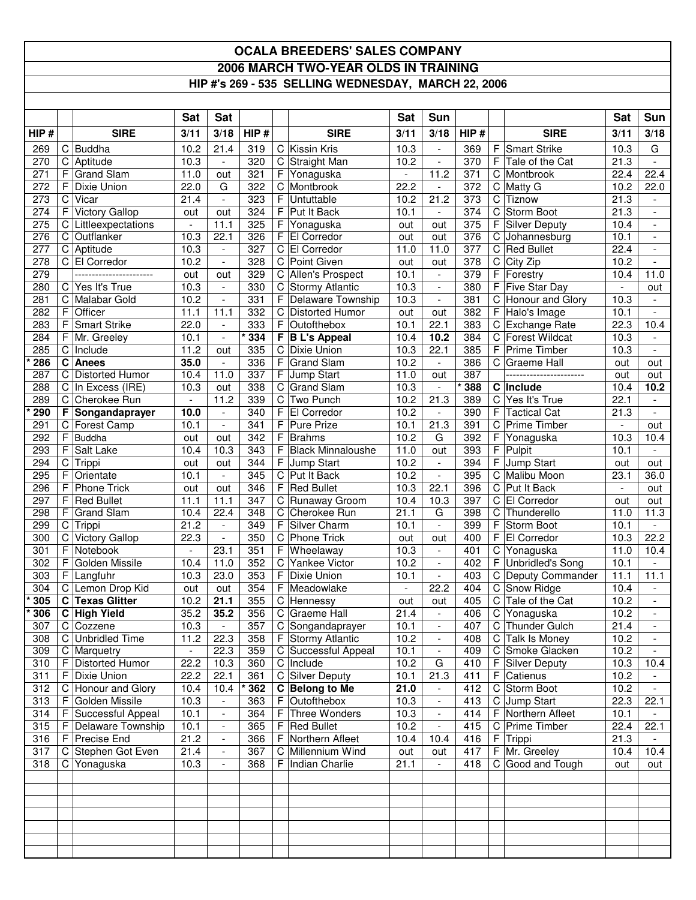## **OCALA BREEDERS' SALES COMPANY 2006 MARCH TWO-YEAR OLDS IN TRAINING HIP #'s 269 - 535 SELLING WEDNESDAY, MARCH 22, 2006**

|                  |                  |                               | Sat                      | <b>Sat</b>                      |            |             |                              | Sat              | Sun                                                  |            |             |                                             | <b>Sat</b>               | Sun                           |
|------------------|------------------|-------------------------------|--------------------------|---------------------------------|------------|-------------|------------------------------|------------------|------------------------------------------------------|------------|-------------|---------------------------------------------|--------------------------|-------------------------------|
| HIP#             |                  | <b>SIRE</b>                   |                          | 3/18                            | HIP#       |             | <b>SIRE</b>                  | 3/11             | 3/18                                                 | HIP#       |             | <b>SIRE</b>                                 | 3/11                     | 3/18                          |
|                  |                  |                               | 3/11                     |                                 |            |             |                              |                  |                                                      |            |             |                                             |                          |                               |
| 269              | $\mathbf C$      | C Buddha                      | 10.2                     | 21.4                            | 319<br>320 | C           | Kissin Kris                  | 10.3             | $\overline{\phantom{a}}$                             | 369<br>370 | F<br>F      | <b>Smart Strike</b><br>Tale of the Cat      | 10.3                     | G<br>$\overline{\phantom{a}}$ |
| 270<br>271       | F                | Aptitude<br><b>Grand Slam</b> | 10.3<br>11.0             | $\overline{\phantom{a}}$<br>out | 321        | С<br>F      | Straight Man<br>Yonaguska    | 10.2             | $\overline{\phantom{a}}$<br>11.2                     | 371        | C           | Montbrook                                   | 21.3<br>22.4             | 22.4                          |
| 272              | $\mathsf F$      | Dixie Union                   | 22.0                     | G                               | 322        | С           | Montbrook                    | 22.2             | $\overline{\phantom{a}}$                             | 372        | C           | Matty G                                     | 10.2                     | 22.0                          |
| 273              | C                | Vicar                         | 21.4                     | $\overline{\phantom{a}}$        | 323        | F           | Untuttable                   | 10.2             | 21.2                                                 | 373        | $\mathsf C$ | Tiznow                                      | 21.3                     |                               |
| 274              | F                | <b>Victory Gallop</b>         | out                      | out                             | 324        | F           | Put It Back                  | 10.1             | $\overline{\phantom{a}}$                             | 374        | C           | Storm Boot                                  | 21.3                     |                               |
| $\overline{275}$ | C                | Littleexpectations            | $\overline{\phantom{a}}$ | 11.1                            | 325        | F           | Yonaguska                    | out              | out                                                  | 375        | F           | <b>Silver Deputy</b>                        | 10.4                     | $\blacksquare$                |
| 276              | C                | Outflanker                    | 10.3                     | 22.1                            | 326        | F           | El Corredor                  | out              | out                                                  | 376        | C           | Johannesburg                                | 10.1                     | $\overline{\phantom{a}}$      |
| 277              | C                | Aptitude                      | 10.3                     | $\overline{\phantom{a}}$        | 327        | С           | El Corredor                  | 11.0             | 11.0                                                 | 377        | С           | <b>Red Bullet</b>                           | 22.4                     | $\overline{\phantom{a}}$      |
| 278              | C                | El Corredor                   | 10.2                     | $\overline{\phantom{a}}$        | 328        | C           | Point Given                  | out              | out                                                  | 378        | C           | City Zip                                    | 10.2                     | $\blacksquare$                |
| 279              |                  |                               | out                      | out                             | 329        | C           | Allen's Prospect             | 10.1             | $\blacksquare$                                       | 379        | $\mathsf F$ | Forestry                                    | 10.4                     | 11.0                          |
| 280              | C                | Yes It's True                 | 10.3                     | $\overline{\phantom{a}}$        | 330        | С           | <b>Stormy Atlantic</b>       | 10.3             | $\overline{\phantom{a}}$                             | 380        | F           | Five Star Day                               | $\overline{\phantom{a}}$ | out                           |
| 281              | C                | Malabar Gold                  | 10.2                     | $\overline{\phantom{a}}$        | 331        | F           | Delaware Township            | 10.3             | $\blacksquare$                                       | 381        | $\mathsf C$ | Honour and Glory                            | 10.3                     | $\blacksquare$                |
| 282              | F                | Officer                       | 11.1                     | 11.1                            | 332        | С           | Distorted Humor              | out              | out                                                  | 382        | F           | Halo's Image                                | 10.1                     | $\blacksquare$                |
| 283              | F                | <b>Smart Strike</b>           | 22.0                     | $\overline{\phantom{a}}$        | 333        | F           | Outofthebox                  | 10.1             | 22.1                                                 | 383        | C           | <b>Exchange Rate</b>                        | 22.3                     | 10.4                          |
| 284              | F                | Mr. Greeley                   | 10.1                     | $\blacksquare$                  | 334        | F           | <b>B L's Appeal</b>          | 10.4             | 10.2                                                 | 384        | C           | <b>Forest Wildcat</b>                       | 10.3                     |                               |
| 285              | C                | Include                       | 11.2                     | out                             | 335        | C           | Dixie Union                  | 10.3             | 22.1                                                 | 385        | F           | Prime Timber                                | 10.3                     | $\overline{\phantom{a}}$      |
| 286              | C                | Anees                         | 35.0                     | $\blacksquare$                  | 336        | F           | <b>Grand Slam</b>            | 10.2             | $\overline{\phantom{a}}$                             | 386        | C.          | Graeme Hall                                 | out                      | out                           |
| 287              | C                | <b>Distorted Humor</b>        | 10.4                     | 11.0                            | 337        | F           | Jump Start                   | 11.0             | out                                                  | 387        |             | -----------------------                     | out                      | out                           |
| 288              | C                | In Excess (IRE)               | 10.3                     | out                             | 338        | $\mathsf C$ | <b>Grand Slam</b>            | 10.3             | $\overline{\phantom{a}}$                             | $*388$     |             | C Include                                   | 10.4                     | 10.2                          |
| 289              | C                | Cherokee Run                  | $\blacksquare$           | 11.2                            | 339        | С           | Two Punch                    | 10.2             | 21.3                                                 | 389        | C           | Yes It's True                               | 22.1                     | $\overline{\phantom{a}}$      |
| 290              | F                | Songandaprayer                | 10.0                     | $\overline{\phantom{a}}$        | 340        | F           | El Corredor                  | 10.2             |                                                      | 390        | F           | <b>Tactical Cat</b>                         | 21.3                     |                               |
| 291              | C                | Forest Camp                   | 10.1                     | $\overline{\phantom{a}}$        | 341        | F           | <b>Pure Prize</b>            | 10.1             | 21.3                                                 | 391        | C           | <b>Prime Timber</b>                         | $\mathbf{r}$             | out                           |
| 292              | F                | Buddha                        | out                      | out                             | 342        | F           | <b>Brahms</b>                | 10.2             | G                                                    | 392        | F           | Yonaguska                                   | 10.3                     | 10.4                          |
| 293              | F.               | Salt Lake                     | 10.4                     | 10.3                            | 343        | F           | <b>Black Minnaloushe</b>     | 11.0             | out                                                  | 393        | F           | Pulpit                                      | 10.1                     |                               |
| 294              | C                | Trippi                        | out                      | out                             | 344        | F           | <b>Jump Start</b>            | 10.2             | $\sim$                                               | 394        | F           | Jump Start                                  | out                      | out                           |
| 295              | F                | Orientate                     | 10.1                     | $\overline{\phantom{a}}$        | 345        | С           | Put It Back                  | 10.2             | $\overline{\phantom{a}}$                             | 395        | C           | Malibu Moon                                 | 23.1                     | 36.0                          |
| 296              | F                | <b>Phone Trick</b>            | out                      | out                             | 346        | F           | <b>Red Bullet</b>            | 10.3             | 22.1                                                 | 396        | $\mathsf C$ | Put It Back                                 |                          | out                           |
| 297              | F                | <b>Red Bullet</b>             | 11.1                     | 11.1                            | 347        | С           | Runaway Groom                | 10.4             | 10.3                                                 | 397        | С           | El Corredor                                 | out                      | out                           |
| 298              | F                | <b>Grand Slam</b>             | 10.4                     | 22.4                            | 348        | С           | Cherokee Run                 | 21.1             | G                                                    | 398        | C           | Thunderello                                 | 11.0                     | 11.3                          |
| 299              | C                | Trippi                        | 21.2                     | $\overline{\phantom{a}}$        | 349        | F           | Silver Charm                 | 10.1             | $\overline{\phantom{a}}$                             | 399        | F           | Storm Boot                                  | 10.1                     |                               |
| 300              | C                | <b>Victory Gallop</b>         | 22.3                     | $\blacksquare$                  | 350        | $\mathsf C$ | <b>Phone Trick</b>           | out              | out                                                  | 400        | F           | El Corredor                                 | 10.3                     | 22.2                          |
| 301              | F<br>$\mathsf F$ | Notebook                      | $\overline{\phantom{a}}$ | 23.1                            | 351        | F           | Wheelaway                    | 10.3             | $\blacksquare$                                       | 401        | C<br>F      | Yonaguska                                   | 11.0                     | 10.4                          |
| 302<br>303       | F.               | Golden Missile<br>Langfuhr    | 10.4<br>10.3             | 11.0<br>23.0                    | 352<br>353 | С<br>F      | Yankee Victor<br>Dixie Union | 10.2             | $\overline{\phantom{a}}$<br>$\overline{\phantom{a}}$ | 402<br>403 | C           | <b>Unbridled's Song</b><br>Deputy Commander | 10.1<br>11.1             | 11.1                          |
| 304              | C                | Lemon Drop Kid                | out                      | out                             | 354        | F           | Meadowlake                   | 10.1<br>$\equiv$ | 22.2                                                 | 404        | C           | Snow Ridge                                  | 10.4                     | $\overline{\phantom{a}}$      |
| * 305            | C                | <b>Texas Glitter</b>          | 10.2                     | 21.1                            | 355        |             | C Hennessy                   | out              | out                                                  | 405        | C           | Tale of the Cat                             | 10.2                     |                               |
| $*306$           |                  | C High Yield                  | 35.2                     | 35.2                            | 356        |             | C Graeme Hall                | 21.4             |                                                      | 406        |             | C Yonaguska                                 | 10.2                     |                               |
| 307              |                  | C Cozzene                     | 10.3                     | $\sim$                          | 357        |             | C Songandaprayer             | 10.1             | $\overline{\phantom{a}}$                             | 407        |             | C Thunder Gulch                             | 21.4                     | $\blacksquare$                |
| 308              |                  | C Unbridled Time              | 11.2                     | 22.3                            | 358        |             | F Stormy Atlantic            | 10.2             | $\overline{\phantom{a}}$                             | 408        |             | C Talk Is Money                             | 10.2                     | $\overline{\phantom{a}}$      |
| 309              |                  | C Marquetry                   | $\overline{\phantom{a}}$ | 22.3                            | 359        |             | C Successful Appeal          | 10.1             | $\overline{\phantom{a}}$                             | 409        |             | C Smoke Glacken                             | 10.2                     |                               |
| 310              | F.               | <b>Distorted Humor</b>        | 22.2                     | 10.3                            | 360        |             | C   Include                  | 10.2             | G                                                    | 410        |             | F Silver Deputy                             | 10.3                     | 10.4                          |
| 311              |                  | F Dixie Union                 | 22.2                     | 22.1                            | 361        |             | C Silver Deputy              | 10.1             | 21.3                                                 | 411        |             | $F$ Catienus                                | 10.2                     |                               |
| 312              |                  | C Honour and Glory            | 10.4                     | 10.4                            | 362        |             | C Belong to Me               | 21.0             | $\overline{\phantom{a}}$                             | 412        |             | C Storm Boot                                | 10.2                     |                               |
| 313              |                  | F Golden Missile              | 10.3                     | $\overline{\phantom{a}}$        | 363        |             | $F$ Outofthebox              | 10.3             | $\mathcal{L}_{\mathcal{A}}$                          | 413        |             | C Jump Start                                | 22.3                     | 22.1                          |
| 314              |                  | F Successful Appeal           | 10.1                     | $\overline{\phantom{a}}$        | 364        | F           | Three Wonders                | 10.3             | $\blacksquare$                                       | 414        | F.          | Northern Afleet                             | 10.1                     |                               |
| 315              | F.               | Delaware Township             | 10.1                     | $\overline{\phantom{a}}$        | 365        | F.          | <b>Red Bullet</b>            | 10.2             | $\overline{\phantom{a}}$                             | 415        |             | C Prime Timber                              | 22.4                     | 22.1                          |
| 316              |                  | F Precise End                 | 21.2                     | $\overline{\phantom{a}}$        | 366        |             | F Northern Afleet            | 10.4             | 10.4                                                 | 416        | F.          | Trippi                                      | 21.3                     |                               |
| 317              |                  | C Stephen Got Even            | 21.4                     |                                 | 367        |             | C Millennium Wind            | out              | out                                                  | 417        |             | F Mr. Greeley                               | 10.4                     | 10.4                          |
| 318              |                  | C Yonaguska                   | 10.3                     |                                 | 368        |             | F Indian Charlie             | 21.1             |                                                      | 418        |             | C Good and Tough                            | out                      | out                           |
|                  |                  |                               |                          |                                 |            |             |                              |                  |                                                      |            |             |                                             |                          |                               |
|                  |                  |                               |                          |                                 |            |             |                              |                  |                                                      |            |             |                                             |                          |                               |
|                  |                  |                               |                          |                                 |            |             |                              |                  |                                                      |            |             |                                             |                          |                               |
|                  |                  |                               |                          |                                 |            |             |                              |                  |                                                      |            |             |                                             |                          |                               |
|                  |                  |                               |                          |                                 |            |             |                              |                  |                                                      |            |             |                                             |                          |                               |
|                  |                  |                               |                          |                                 |            |             |                              |                  |                                                      |            |             |                                             |                          |                               |
|                  |                  |                               |                          |                                 |            |             |                              |                  |                                                      |            |             |                                             |                          |                               |